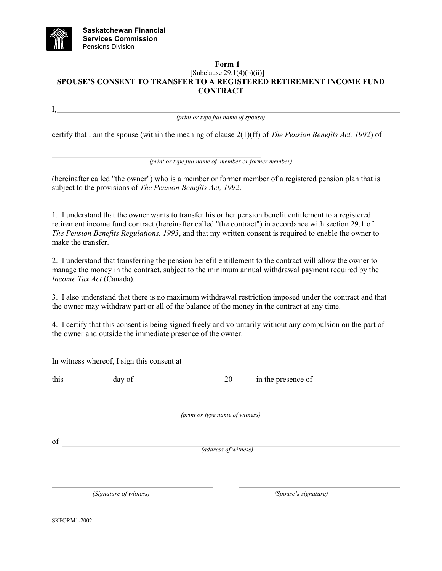

I,

## **Form 1** [Subclause 29.1(4)(b)(ii)] **SPOUSE'S CONSENT TO TRANSFER TO A REGISTERED RETIREMENT INCOME FUND CONTRACT**

*(print or type full name of spouse)*

certify that I am the spouse (within the meaning of clause 2(1)(ff) of *The Pension Benefits Act, 1992*) of

*(print or type full name of member or former member)*

(hereinafter called "the owner") who is a member or former member of a registered pension plan that is subject to the provisions of *The Pension Benefits Act, 1992*.

1. I understand that the owner wants to transfer his or her pension benefit entitlement to a registered retirement income fund contract (hereinafter called "the contract") in accordance with section 29.1 of *The Pension Benefits Regulations, 1993*, and that my written consent is required to enable the owner to make the transfer.

2. I understand that transferring the pension benefit entitlement to the contract will allow the owner to manage the money in the contract, subject to the minimum annual withdrawal payment required by the *Income Tax Act* (Canada).

3. I also understand that there is no maximum withdrawal restriction imposed under the contract and that the owner may withdraw part or all of the balance of the money in the contract at any time.

4. I certify that this consent is being signed freely and voluntarily without any compulsion on the part of the owner and outside the immediate presence of the owner.

In witness whereof, I sign this consent at  $\qquad$ 

this day of 20 in the presence of

*(print or type name of witness)*

of

*(address of witness)*

*(Signature of witness) (Spouse's signature)*

SKFORM1-2002